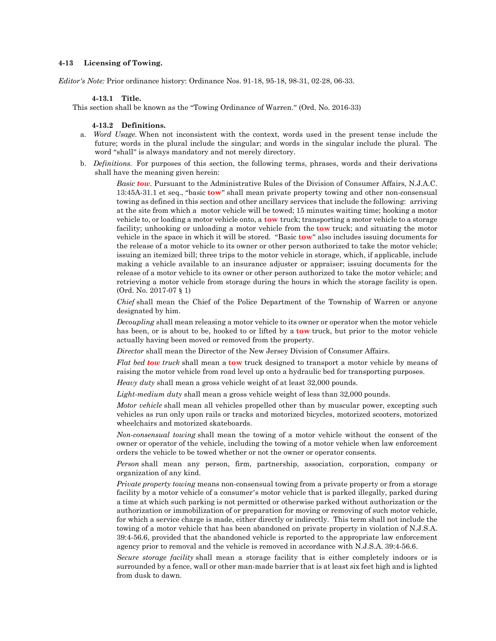#### **4-13 Licensing of Towing.**

*Editor's Note:* Prior ordinance history: Ordinance Nos. 91-18, 95-18, 98-31, 02-28, 06-33.

#### **4-13.1 Title.**

This section shall be known as the "Towing Ordinance of Warren." (Ord. No. 2016-33)

#### **4-13.2 Definitions.**

- a. *Word Usage.* When not inconsistent with the context, words used in the present tense include the future; words in the plural include the singular; and words in the singular include the plural. The word "shall" is always mandatory and not merely directory.
- b. *Definitions.* For purposes of this section, the following terms, phrases, words and their derivations shall have the meaning given herein:

*Basic tow.* Pursuant to the Administrative Rules of the Division of Consumer Affairs, N.J.A.C. 13:45A-31.1 et seq., "basic **tow**" shall mean private property towing and other non-consensual towing as defined in this section and other ancillary services that include the following: arriving at the site from which a motor vehicle will be towed; 15 minutes waiting time; hooking a motor vehicle to, or loading a motor vehicle onto, a **tow** truck; transporting a motor vehicle to a storage facility; unhooking or unloading a motor vehicle from the **tow** truck; and situating the motor vehicle in the space in which it will be stored. "Basic **tow**" also includes issuing documents for the release of a motor vehicle to its owner or other person authorized to take the motor vehicle; issuing an itemized bill; three trips to the motor vehicle in storage, which, if applicable, include making a vehicle available to an insurance adjuster or appraiser; issuing documents for the release of a motor vehicle to its owner or other person authorized to take the motor vehicle; and retrieving a motor vehicle from storage during the hours in which the storage facility is open. (Ord. No. 2017-07 § 1)

*Chief* shall mean the Chief of the Police Department of the Township of Warren or anyone designated by him.

*Decoupling* shall mean releasing a motor vehicle to its owner or operator when the motor vehicle has been, or is about to be, hooked to or lifted by a **tow** truck, but prior to the motor vehicle actually having been moved or removed from the property.

*Director* shall mean the Director of the New Jersey Division of Consumer Affairs.

*Flat bed tow truck* shall mean a **tow** truck designed to transport a motor vehicle by means of raising the motor vehicle from road level up onto a hydraulic bed for transporting purposes.

*Heavy duty* shall mean a gross vehicle weight of at least 32,000 pounds.

*Light-medium duty* shall mean a gross vehicle weight of less than 32,000 pounds.

*Motor vehicle* shall mean all vehicles propelled other than by muscular power, excepting such vehicles as run only upon rails or tracks and motorized bicycles, motorized scooters, motorized wheelchairs and motorized skateboards.

*Non-consensual towing* shall mean the towing of a motor vehicle without the consent of the owner or operator of the vehicle, including the towing of a motor vehicle when law enforcement orders the vehicle to be towed whether or not the owner or operator consents.

*Person* shall mean any person, firm, partnership, association, corporation, company or organization of any kind.

*Private property towing* means non-consensual towing from a private property or from a storage facility by a motor vehicle of a consumer's motor vehicle that is parked illegally, parked during a time at which such parking is not permitted or otherwise parked without authorization or the authorization or immobilization of or preparation for moving or removing of such motor vehicle, for which a service charge is made, either directly or indirectly. This term shall not include the towing of a motor vehicle that has been abandoned on private property in violation of N.J.S.A. 39:4-56.6, provided that the abandoned vehicle is reported to the appropriate law enforcement agency prior to removal and the vehicle is removed in accordance with N.J.S.A. 39:4-56.6.

*Secure storage facility* shall mean a storage facility that is either completely indoors or is surrounded by a fence, wall or other man-made barrier that is at least six feet high and is lighted from dusk to dawn.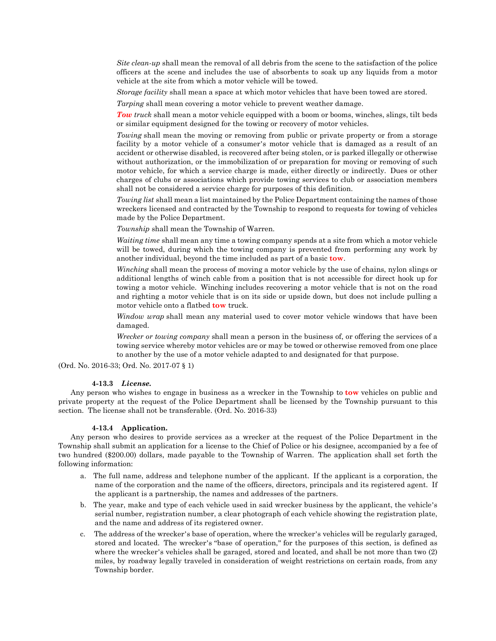*Site clean-up* shall mean the removal of all debris from the scene to the satisfaction of the police officers at the scene and includes the use of absorbents to soak up any liquids from a motor vehicle at the site from which a motor vehicle will be towed.

*Storage facility* shall mean a space at which motor vehicles that have been towed are stored.

*Tarping* shall mean covering a motor vehicle to prevent weather damage.

*Tow truck* shall mean a motor vehicle equipped with a boom or booms, winches, slings, tilt beds or similar equipment designed for the towing or recovery of motor vehicles.

*Towing* shall mean the moving or removing from public or private property or from a storage facility by a motor vehicle of a consumer's motor vehicle that is damaged as a result of an accident or otherwise disabled, is recovered after being stolen, or is parked illegally or otherwise without authorization, or the immobilization of or preparation for moving or removing of such motor vehicle, for which a service charge is made, either directly or indirectly. Dues or other charges of clubs or associations which provide towing services to club or association members shall not be considered a service charge for purposes of this definition.

*Towing list* shall mean a list maintained by the Police Department containing the names of those wreckers licensed and contracted by the Township to respond to requests for towing of vehicles made by the Police Department.

*Township* shall mean the Township of Warren.

*Waiting time* shall mean any time a towing company spends at a site from which a motor vehicle will be towed, during which the towing company is prevented from performing any work by another individual, beyond the time included as part of a basic **tow**.

*Winching* shall mean the process of moving a motor vehicle by the use of chains, nylon slings or additional lengths of winch cable from a position that is not accessible for direct hook up for towing a motor vehicle. Winching includes recovering a motor vehicle that is not on the road and righting a motor vehicle that is on its side or upside down, but does not include pulling a motor vehicle onto a flatbed **tow** truck.

*Window wrap* shall mean any material used to cover motor vehicle windows that have been damaged.

*Wrecker or towing company* shall mean a person in the business of, or offering the services of a towing service whereby motor vehicles are or may be towed or otherwise removed from one place to another by the use of a motor vehicle adapted to and designated for that purpose.

(Ord. No. 2016-33; Ord. No. 2017-07 § 1)

### **4-13.3** *License.*

 Any person who wishes to engage in business as a wrecker in the Township to **tow** vehicles on public and private property at the request of the Police Department shall be licensed by the Township pursuant to this section. The license shall not be transferable. (Ord. No. 2016-33)

### **4-13.4 Application.**

 Any person who desires to provide services as a wrecker at the request of the Police Department in the Township shall submit an application for a license to the Chief of Police or his designee, accompanied by a fee of two hundred (\$200.00) dollars, made payable to the Township of Warren. The application shall set forth the following information:

- a. The full name, address and telephone number of the applicant. If the applicant is a corporation, the name of the corporation and the name of the officers, directors, principals and its registered agent. If the applicant is a partnership, the names and addresses of the partners.
- b. The year, make and type of each vehicle used in said wrecker business by the applicant, the vehicle's serial number, registration number, a clear photograph of each vehicle showing the registration plate, and the name and address of its registered owner.
- c. The address of the wrecker's base of operation, where the wrecker's vehicles will be regularly garaged, stored and located. The wrecker's "base of operation," for the purposes of this section, is defined as where the wrecker's vehicles shall be garaged, stored and located, and shall be not more than two (2) miles, by roadway legally traveled in consideration of weight restrictions on certain roads, from any Township border.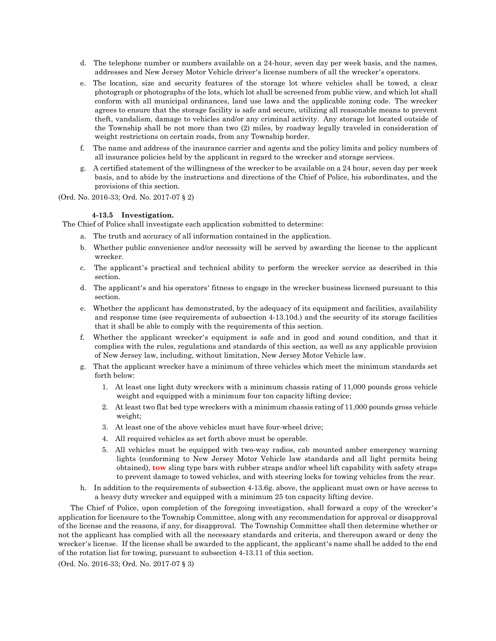- d. The telephone number or numbers available on a 24-hour, seven day per week basis, and the names, addresses and New Jersey Motor Vehicle driver's license numbers of all the wrecker's operators.
- e. The location, size and security features of the storage lot where vehicles shall be towed, a clear photograph or photographs of the lots, which lot shall be screened from public view, and which lot shall conform with all municipal ordinances, land use laws and the applicable zoning code. The wrecker agrees to ensure that the storage facility is safe and secure, utilizing all reasonable means to prevent theft, vandalism, damage to vehicles and/or any criminal activity. Any storage lot located outside of the Township shall be not more than two (2) miles, by roadway legally traveled in consideration of weight restrictions on certain roads, from any Township border.
- f. The name and address of the insurance carrier and agents and the policy limits and policy numbers of all insurance policies held by the applicant in regard to the wrecker and storage services.
- g. A certified statement of the willingness of the wrecker to be available on a 24 hour, seven day per week basis, and to abide by the instructions and directions of the Chief of Police, his subordinates, and the provisions of this section.
- (Ord. No. 2016-33; Ord. No. 2017-07 § 2)

## **4-13.5 Investigation.**

The Chief of Police shall investigate each application submitted to determine:

- a. The truth and accuracy of all information contained in the application.
- b. Whether public convenience and/or necessity will be served by awarding the license to the applicant wrecker.
- c. The applicant's practical and technical ability to perform the wrecker service as described in this section.
- d. The applicant's and his operators' fitness to engage in the wrecker business licensed pursuant to this section.
- e. Whether the applicant has demonstrated, by the adequacy of its equipment and facilities, availability and response time (see requirements of subsection 4-13.10d.) and the security of its storage facilities that it shall be able to comply with the requirements of this section.
- f. Whether the applicant wrecker's equipment is safe and in good and sound condition, and that it complies with the rules, regulations and standards of this section, as well as any applicable provision of New Jersey law, including, without limitation, New Jersey Motor Vehicle law.
- g. That the applicant wrecker have a minimum of three vehicles which meet the minimum standards set forth below:
	- 1. At least one light duty wreckers with a minimum chassis rating of 11,000 pounds gross vehicle weight and equipped with a minimum four ton capacity lifting device;
	- 2. At least two flat bed type wreckers with a minimum chassis rating of 11,000 pounds gross vehicle weight;
	- 3. At least one of the above vehicles must have four-wheel drive;
	- 4. All required vehicles as set forth above must be operable.
	- 5. All vehicles must be equipped with two-way radios, cab mounted amber emergency warning lights (conforming to New Jersey Motor Vehicle law standards and all light permits being obtained), **tow** sling type bars with rubber straps and/or wheel lift capability with safety straps to prevent damage to towed vehicles, and with steering locks for towing vehicles from the rear.
- h. In addition to the requirements of subsection 4-13.6g. above, the applicant must own or have access to a heavy duty wrecker and equipped with a minimum 25 ton capacity lifting device.

 The Chief of Police, upon completion of the foregoing investigation, shall forward a copy of the wrecker's application for licensure to the Township Committee, along with any recommendation for approval or disapproval of the license and the reasons, if any, for disapproval. The Township Committee shall then determine whether or not the applicant has complied with all the necessary standards and criteria, and thereupon award or deny the wrecker's license. If the license shall be awarded to the applicant, the applicant's name shall be added to the end of the rotation list for towing, pursuant to subsection 4-13.11 of this section.

(Ord. No. 2016-33; Ord. No. 2017-07 § 3)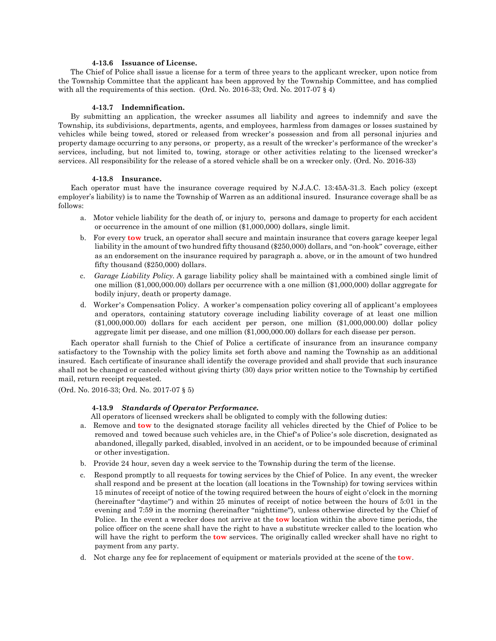## **4-13.6 Issuance of License.**

 The Chief of Police shall issue a license for a term of three years to the applicant wrecker, upon notice from the Township Committee that the applicant has been approved by the Township Committee, and has complied with all the requirements of this section. (Ord. No. 2016-33; Ord. No. 2017-07 § 4)

## **4-13.7 Indemnification.**

By submitting an application, the wrecker assumes all liability and agrees to indemnify and save the Township, its subdivisions, departments, agents, and employees, harmless from damages or losses sustained by vehicles while being towed, stored or released from wrecker's possession and from all personal injuries and property damage occurring to any persons, or property, as a result of the wrecker's performance of the wrecker's services, including, but not limited to, towing, storage or other activities relating to the licensed wrecker's services. All responsibility for the release of a stored vehicle shall be on a wrecker only. (Ord. No. 2016-33)

## **4-13.8 Insurance.**

 Each operator must have the insurance coverage required by N.J.A.C. 13:45A-31.3. Each policy (except employer's liability) is to name the Township of Warren as an additional insured. Insurance coverage shall be as follows:

- a. Motor vehicle liability for the death of, or injury to, persons and damage to property for each accident or occurrence in the amount of one million (\$1,000,000) dollars, single limit.
- b. For every **tow** truck, an operator shall secure and maintain insurance that covers garage keeper legal liability in the amount of two hundred fifty thousand (\$250,000) dollars, and "on-hook" coverage, either as an endorsement on the insurance required by paragraph a. above, or in the amount of two hundred fifty thousand (\$250,000) dollars.
- c. *Garage Liability Policy.* A garage liability policy shall be maintained with a combined single limit of one million (\$1,000,000.00) dollars per occurrence with a one million (\$1,000,000) dollar aggregate for bodily injury, death or property damage.
- d. Worker's Compensation Policy. A worker's compensation policy covering all of applicant's employees and operators, containing statutory coverage including liability coverage of at least one million (\$1,000,000.00) dollars for each accident per person, one million (\$1,000,000.00) dollar policy aggregate limit per disease, and one million (\$1,000,000.00) dollars for each disease per person.

 Each operator shall furnish to the Chief of Police a certificate of insurance from an insurance company satisfactory to the Township with the policy limits set forth above and naming the Township as an additional insured. Each certificate of insurance shall identify the coverage provided and shall provide that such insurance shall not be changed or canceled without giving thirty (30) days prior written notice to the Township by certified mail, return receipt requested.

(Ord. No. 2016-33; Ord. No. 2017-07 § 5)

# **4-13.9** *Standards of Operator Performance.*

All operators of licensed wreckers shall be obligated to comply with the following duties:

- a. Remove and **tow** to the designated storage facility all vehicles directed by the Chief of Police to be removed and towed because such vehicles are, in the Chief's of Police's sole discretion, designated as abandoned, illegally parked, disabled, involved in an accident, or to be impounded because of criminal or other investigation.
- b. Provide 24 hour, seven day a week service to the Township during the term of the license.
- Respond promptly to all requests for towing services by the Chief of Police. In any event, the wrecker shall respond and be present at the location (all locations in the Township) for towing services within 15 minutes of receipt of notice of the towing required between the hours of eight o'clock in the morning (hereinafter "daytime") and within 25 minutes of receipt of notice between the hours of 5:01 in the evening and 7:59 in the morning (hereinafter "nighttime"), unless otherwise directed by the Chief of Police. In the event a wrecker does not arrive at the **tow** location within the above time periods, the police officer on the scene shall have the right to have a substitute wrecker called to the location who will have the right to perform the **tow** services. The originally called wrecker shall have no right to payment from any party.
- d. Not charge any fee for replacement of equipment or materials provided at the scene of the **tow**.